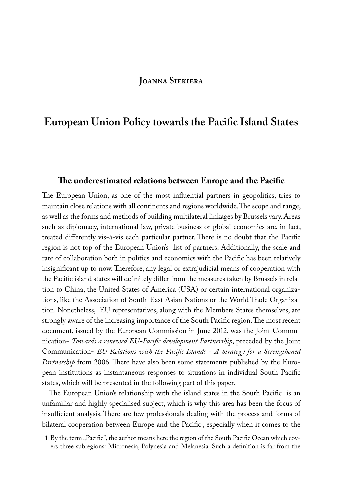## **Joanna Siekiera**

# **European Union Policy towards the Pacific Island States**

#### **The underestimated relations between Europe and the Pacific**

The European Union, as one of the most influential partners in geopolitics, tries to maintain close relations with all continents and regions worldwide. The scope and range, as well as the forms and methods of building multilateral linkages by Brussels vary. Areas such as diplomacy, international law, private business or global economics are, in fact, treated differently vis-à-vis each particular partner. There is no doubt that the Pacific region is not top of the European Union's list of partners. Additionally, the scale and rate of collaboration both in politics and economics with the Pacific has been relatively insignificant up to now. Therefore, any legal or extrajudicial means of cooperation with the Pacific island states will definitely differ from the measures taken by Brussels in relation to China, the United States of America (USA) or certain international organizations, like the Association of South-East Asian Nations or the World Trade Organization. Nonetheless, EU representatives, along with the Members States themselves, are strongly aware of the increasing importance of the South Pacific region. The most recent document, issued by the European Commission in June 2012, was the Joint Communication- *Towards a renewed EU-Pacific development Partnership*, preceded by the Joint Communication- *EU Relations with the Pacific Islands - A Strategy for a Strengthened Partnership* from 2006. There have also been some statements published by the European institutions as instantaneous responses to situations in individual South Pacific states, which will be presented in the following part of this paper.

The European Union's relationship with the island states in the South Pacific is an unfamiliar and highly specialised subject, which is why this area has been the focus of insufficient analysis. There are few professionals dealing with the process and forms of bilateral cooperation between Europe and the Pacific<sup>1</sup>, especially when it comes to the

<sup>1</sup> By the term "Pacific", the author means here the region of the South Pacific Ocean which covers three subregions: Micronesia, Polynesia and Melanesia. Such a definition is far from the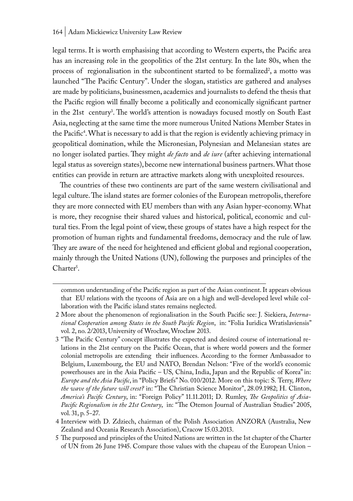legal terms. It is worth emphasising that according to Western experts, the Pacific area has an increasing role in the geopolitics of the 21st century. In the late 80s, when the process of regionalisation in the subcontinent started to be formalized<sup>2</sup>, a motto was launched "The Pacific Century". Under the slogan, statistics are gathered and analyses are made by politicians, businessmen, academics and journalists to defend the thesis that the Pacific region will finally become a politically and economically significant partner in the 21st century3 . The world's attention is nowadays focused mostly on South East Asia, neglecting at the same time the more numerous United Nations Member States in the Pacific<sup>4</sup>. What is necessary to add is that the region is evidently achieving primacy in geopolitical domination, while the Micronesian, Polynesian and Melanesian states are no longer isolated parties. They might *de facto* and *de iure* (after achieving international legal status as sovereign states), become new international business partners. What those entities can provide in return are attractive markets along with unexploited resources.

The countries of these two continents are part of the same western civilisational and legal culture. The island states are former colonies of the European metropolis, therefore they are more connected with EU members than with any Asian hyper-economy. What is more, they recognise their shared values and historical, political, economic and cultural ties. From the legal point of view, these groups of states have a high respect for the promotion of human rights and fundamental freedoms, democracy and the rule of law. They are aware of the need for heightened and efficient global and regional cooperation, mainly through the United Nations (UN), following the purposes and principles of the Charter<sup>5</sup>.

common understanding of the Pacific region as part of the Asian continent. It appears obvious that EU relations with the tycoons of Asia are on a high and well-developed level while collaboration with the Pacific island states remains neglected.

<sup>2</sup> More about the phenomenon of regionalisation in the South Pacific see: J. Siekiera, *International Cooperation among States in the South Pacific Region*, in: "Folia Iuridica Wratislaviensis" vol. 2, no. 2/2013, University of Wrocław, Wrocław 2013.

<sup>3</sup> "The Pacific Century" concept illustrates the expected and desired course of international relations in the 21st century on the Pacific Ocean, that is where world powers and the former colonial metropolis are extending their influences. According to the former Ambassador to Belgium, Luxembourg, the EU and NATO, Brendan Nelson: "Five of the world's economic powerhouses are in the Asia Pacific – US, China, India, Japan and the Republic of Korea" in: *Europe and the Asia Pacific*, in "Policy Briefs" No. 010/2012. More on this topic: S. Terry, *Where the wave of the future will crest?* in: "The Christian Science Monitor", 28.09.1982; H. Clinton, *America's Pacific Century*, in: "Foreign Policy" 11.11.2011; D. Rumley, *The Geopolitics of Asia-Pacific Regionalism in the 21st Century*, in: "The Otemon Journal of Australian Studies" 2005, vol. 31, p. 5−27.

<sup>4</sup> Interview with D. Zdziech, chairman of the Polish Association ANZORA (Australia, New Zealand and Oceania Research Association), Cracow 15.03.2013.

<sup>5</sup> The purposed and principles of the United Nations are written in the 1st chapter of the Charter of UN from 26 June 1945. Compare those values with the chapeau of the European Union –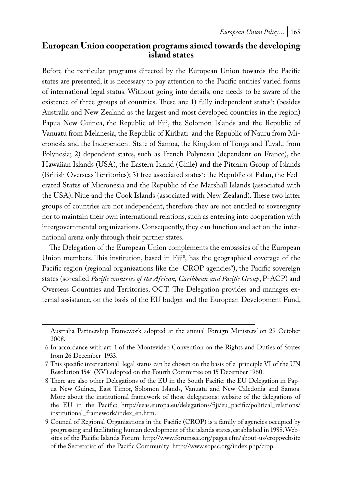## **European Union cooperation programs aimed towards the developing island states**

Before the particular programs directed by the European Union towards the Pacific states are presented, it is necessary to pay attention to the Pacific entities' varied forms of international legal status. Without going into details, one needs to be aware of the existence of three groups of countries. These are: 1) fully independent states<sup>6</sup>: (besides Australia and New Zealand as the largest and most developed countries in the region) Papua New Guinea, the Republic of Fiji, the Solomon Islands and the Republic of Vanuatu from Melanesia, the Republic of Kiribati and the Republic of Nauru from Micronesia and the Independent State of Samoa, the Kingdom of Tonga and Tuvalu from Polynesia; 2) dependent states, such as French Polynesia (dependent on France), the Hawaiian Islands (USA), the Eastern Island (Chile) and the Pitcairn Group of Islands (British Overseas Territories); 3) free associated states': the Republic of Palau, the Federated States of Micronesia and the Republic of the Marshall Islands (associated with the USA), Niue and the Cook Islands (associated with New Zealand). These two latter groups of countries are not independent, therefore they are not entitled to sovereignty nor to maintain their own international relations, such as entering into cooperation with intergovernmental organizations. Consequently, they can function and act on the international arena only through their partner states.

The Delegation of the European Union complements the embassies of the European Union members. This institution, based in Fiji<sup>8</sup>, has the geographical coverage of the Pacific region (regional organizations like the CROP agencies<sup>9</sup>), the Pacific sovereign states (so-called *Pacific countries of the African, Caribbean and Pacific Group*, P-ACP) and Overseas Countries and Territories, OCT. The Delegation provides and manages external assistance, on the basis of the EU budget and the European Development Fund,

Australia Partnership Framework adopted at the annual Foreign Ministers' on 29 October 2008.

<sup>6</sup> In accordance with art. 1 of the Montevideo Convention on the Rights and Duties of States from 26 December 1933.

<sup>7</sup> This specific international legal status can be chosen on the basis of e principle VI of the UN Resolution 1541 (XV) adopted on the Fourth Committee on 15 December 1960.

<sup>8</sup> There are also other Delegations of the EU in the South Pacific: the EU Delegation in Papua New Guinea, East Timor, Solomon Islands, Vanuatu and New Caledonia and Samoa. More about the institutional framework of those delegations: website of the delegations of the EU in the Pacific: http://eeas.europa.eu/delegations/fiji/eu\_pacific/political\_relations/ institutional\_framework/index\_en.htm.

<sup>9</sup> Council of Regional Organisations in the Pacific (CROP) is a family of agencies occupied by progressing and facilitating human development of the islands states, established in 1988. Websites of the Pacific Islands Forum: http://www.forumsec.org/pages.cfm/about-us/crop;website of the Secretariat of the Pacific Community: http://www.sopac.org/index.php/crop.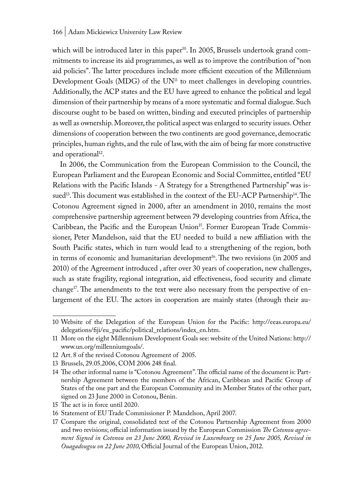which will be introduced later in this paper<sup>10</sup>. In 2005, Brussels undertook grand commitments to increase its aid programmes, as well as to improve the contribution of "non aid policies". The latter procedures include more efficient execution of the Millennium Development Goals ( $MDG$ ) of the  $UN<sup>11</sup>$  to meet challenges in developing countries. Additionally, the ACP states and the EU have agreed to enhance the political and legal dimension of their partnership by means of a more systematic and formal dialogue. Such discourse ought to be based on written, binding and executed principles of partnership as well as ownership. Moreover, the political aspect was enlarged to security issues. Other dimensions of cooperation between the two continents are good governance, democratic principles, human rights, and the rule of law, with the aim of being far more constructive and operational<sup>12</sup>.

In 2006, the Communication from the European Commission to the Council, the European Parliament and the European Economic and Social Committee, entitled "EU Relations with the Pacific Islands - A Strategy for a Strengthened Partnership" was issued<sup>13</sup>. This document was established in the context of the EU-ACP Partnership<sup>14</sup>. The Cotonou Agreement signed in 2000, after an amendment in 2010, remains the most comprehensive partnership agreement between 79 developing countries from Africa, the Caribbean, the Pacific and the European Union<sup>15</sup>. Former European Trade Commissioner, Peter Mandelson, said that the EU needed to build a new affiliation with the South Pacific states, which in turn would lead to a strengthening of the region, both in terms of economic and humanitarian development<sup>16</sup>. The two revisions (in 2005 and 2010) of the Agreement introduced , after over 30 years of cooperation, new challenges, such as state fragility, regional integration, aid effectiveness, food security and climate change<sup>17</sup>. The amendments to the text were also necessary from the perspective of enlargement of the EU. The actors in cooperation are mainly states (through their au-

<sup>10</sup> Website of the Delegation of the European Union for the Pacific: http://eeas.europa.eu/ delegations/fiji/eu\_pacific/political\_relations/index\_en.htm.

<sup>11</sup> More on the eight Millennium Development Goals see: website of the United Nations: http:// www.un.org/millenniumgoals/.

<sup>12</sup> Art. 8 of the revised Cotonou Agreement of 2005.

<sup>13</sup> Brussels, 29.05.2006, COM 2006 248 final.

<sup>14</sup> The other informal name is "Cotonou Agreement". The official name of the document is: Partnership Agreement between the members of the African, Caribbean and Pacific Group of States of the one part and the European Community and its Member States of the other part, signed on 23 June 2000 in Cotonou, Bénin.

<sup>15</sup> The act is in force until 2020.

<sup>16</sup> Statement of EU Trade Commissioner P. Mandelson, April 2007.

<sup>17</sup> Compare the original, consolidated text of the Cotonou Partnership Agreement from 2000 and two revisions; official information issued by the European Commission *The Cotonou agreement Signed in Cotonou on 23 June 2000, Revised in Luxembourg on 25 June 2005, Revised in Ouagadougou on 22 June 2010*, Official Journal of the European Union, 2012.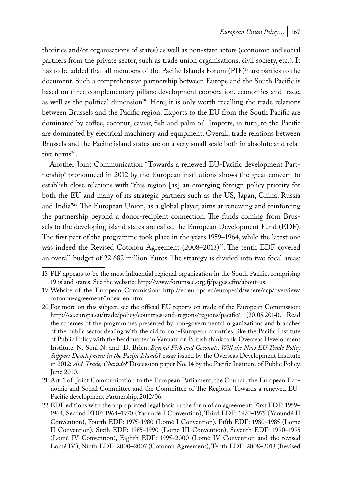thorities and/or organisations of states) as well as non-state actors (economic and social partners from the private sector, such as trade union organisations, civil society, etc.). It has to be added that all members of the Pacific Islands Forum (PIF)<sup>18</sup> are parties to the document. Such a comprehensive partnership between Europe and the South Pacific is based on three complementary pillars: development cooperation, economics and trade, as well as the political dimension<sup>19</sup>. Here, it is only worth recalling the trade relations between Brussels and the Pacific region. Exports to the EU from the South Pacific are dominated by coffee, coconut, caviar, fish and palm oil. Imports, in turn, to the Pacific are dominated by electrical machinery and equipment. Overall, trade relations between Brussels and the Pacific island states are on a very small scale both in absolute and relative terms<sup>20</sup>.

Another Joint Communication "Towards a renewed EU-Pacific development Partnership" pronounced in 2012 by the European institutions shows the great concern to establish close relations with "this region [as] an emerging foreign policy priority for both the EU and many of its strategic partners such as the US, Japan, China, Russia and India"21. The European Union, as a global player, aims at renewing and reinforcing the partnership beyond a donor-recipient connection. The funds coming from Brussels to the developing island states are called the European Development Fund (EDF). The first part of the programme took place in the years 1959–1964, while the latest one was indeed the Revised Cotonou Agreement (2008–2013)<sup>22</sup>. The tenth EDF covered an overall budget of 22 682 million Euros. The strategy is divided into two focal areas:

<sup>18</sup> PIF appears to be the most influential regional organization in the South Pacific, comprising 19 island states. See the website: http://www.forumsec.org.fj/pages.cfm/about-us.

<sup>19</sup> Website of the European Commission: http://ec.europa.eu/europeaid/where/acp/overview/ cotonou-agreement/index\_en.htm.

<sup>20</sup> For more on this subject, see the official EU reports on trade of the European Commission: http://ec.europa.eu/trade/policy/countries-and-regions/regions/pacific/ (20.05.2014). Read the schemes of the programmes presented by non-governmental organizations and branches of the public sector dealing with the aid to non-European countries, like the Pacific Institute of Public Policy with the headquarter in Vanuatu or British think tank, Overseas Development Institute. N. Soni N. and D. Brien, *Beyond Fish and Coconuts: Will the New EU Trade Policy Support Development in the Pacific Islands?* essay issued by the Overseas Development Institute in 2012; *Aid, Trade, Charade?* Discussion paper No. 14 by the Pacific Institute of Public Policy, June 2010.

<sup>21</sup> Art. 1 of Joint Communication to the European Parliament, the Council, the European Economic and Social Committee and the Committee of The Regions: Towards a renewed EU-Pacific development Partnership, 2012/06.

<sup>22</sup> EDF editions with the appropriated legal basis in the form of an agreement: First EDF: 1959– 1964, Second EDF: 1964–1970 (Yaoundé I Convention), Third EDF: 1970–1975 (Yaoundé II Convention), Fourth EDF: 1975–1980 (Lomé I Convention), Fifth EDF: 1980–1985 (Lomé II Convention), Sixth EDF: 1985–1990 (Lomé III Convention), Seventh EDF: 1990–1995 (Lomé IV Convention), Eighth EDF: 1995–2000 (Lomé IV Convention and the revised Lomé IV), Ninth EDF: 2000–2007 (Cotonou Agreement), Tenth EDF: 2008–2013 (Revised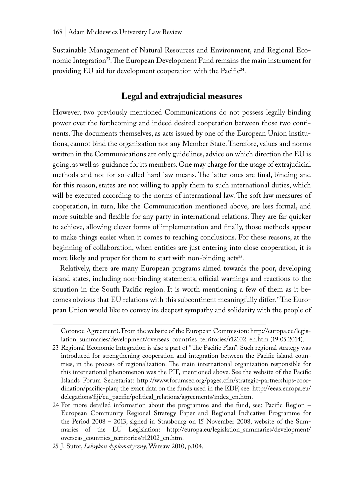Sustainable Management of Natural Resources and Environment, and Regional Economic Integration<sup>23</sup>. The European Development Fund remains the main instrument for providing EU aid for development cooperation with the Pacific<sup>24</sup>.

# **Legal and extrajudicial measures**

However, two previously mentioned Communications do not possess legally binding power over the forthcoming and indeed desired cooperation between those two continents. The documents themselves, as acts issued by one of the European Union institutions, cannot bind the organization nor any Member State. Therefore, values and norms written in the Communications are only guidelines, advice on which direction the EU is going, as well as guidance for its members. One may charge for the usage of extrajudicial methods and not for so-called hard law means. The latter ones are final, binding and for this reason, states are not willing to apply them to such international duties, which will be executed according to the norms of international law. The soft law measures of cooperation, in turn, like the Communication mentioned above, are less formal, and more suitable and flexible for any party in international relations. They are far quicker to achieve, allowing clever forms of implementation and finally, those methods appear to make things easier when it comes to reaching conclusions. For these reasons, at the beginning of collaboration, when entities are just entering into close cooperation, it is more likely and proper for them to start with non-binding  $\arctanes^2$ .

Relatively, there are many European programs aimed towards the poor, developing island states, including non-binding statements, official warnings and reactions to the situation in the South Pacific region. It is worth mentioning a few of them as it becomes obvious that EU relations with this subcontinent meaningfully differ. "The European Union would like to convey its deepest sympathy and solidarity with the people of

Cotonou Agreement). From the website of the European Commission: http://europa.eu/legislation\_summaries/development/overseas\_countries\_territories/r12102\_en.htm (19.05.2014).

<sup>23</sup> Regional Economic Integration is also a part of "The Pacific Plan". Such regional strategy was introduced for strengthening cooperation and integration between the Pacific island countries, in the process of regionalization. The main international organization responsible for this international phenomenon was the PIF, mentioned above. See the website of the Pacific Islands Forum Secretariat: http://www.forumsec.org/pages.cfm/strategic-partnerships-coordination/pacific-plan; the exact data on the funds used in the EDF, see: http://eeas.europa.eu/ delegations/fiji/eu\_pacific/political\_relations/agreements/index\_en.htm.

<sup>24</sup> For more detailed information about the programme and the fund, see: Pacific Region – European Community Regional Strategy Paper and Regional Indicative Programme for the Period 2008 – 2013, signed in Strasbourg on 15 November 2008; website of the Summaries of the EU Legislation: http://europa.eu/legislation\_summaries/development/ overseas\_countries\_territories/r12102\_en.htm.

<sup>25</sup> J. Sutor, *Leksykon dyplomatyczny*, Warsaw 2010, p.104.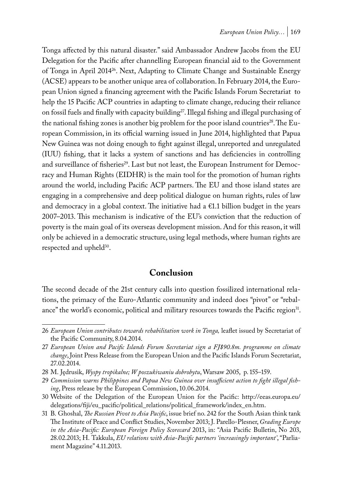Tonga affected by this natural disaster." said Ambassador Andrew Jacobs from the EU Delegation for the Pacific after channelling European financial aid to the Government of Tonga in April 2014<sup>26</sup>. Next, Adapting to Climate Change and Sustainable Energy (ACSE) appears to be another unique area of collaboration. In February 2014, the European Union signed a financing agreement with the Pacific Islands Forum Secretariat to help the 15 Pacific ACP countries in adapting to climate change, reducing their reliance on fossil fuels and finally with capacity building<sup>27</sup>. Illegal fishing and illegal purchasing of the national fishing zones is another big problem for the poor island countries<sup>28</sup>. The European Commission, in its official warning issued in June 2014, highlighted that Papua New Guinea was not doing enough to fight against illegal, unreported and unregulated (IUU) fishing, that it lacks a system of sanctions and has deficiencies in controlling and surveillance of fisheries<sup>29</sup>. Last but not least, the European Instrument for Democracy and Human Rights (EIDHR) is the main tool for the promotion of human rights around the world, including Pacific ACP partners. The EU and those island states are engaging in a comprehensive and deep political dialogue on human rights, rules of law and democracy in a global context. The initiative had a  $\epsilon$ 1.1 billion budget in the years 2007–2013. This mechanism is indicative of the EU's conviction that the reduction of poverty is the main goal of its overseas development mission. And for this reason, it will only be achieved in a democratic structure, using legal methods, where human rights are respected and upheld<sup>30</sup>.

# **Conclusion**

The second decade of the 21st century calls into question fossilized international relations, the primacy of the Euro-Atlantic community and indeed does "pivot" or "rebalance" the world's economic, political and military resources towards the Pacific region<sup>31</sup>.

<sup>26</sup> *European Union contributes towards rehabilitation work in Tonga,* leaflet issued by Secretariat of the Pacific Community, 8.04.2014.

<sup>27</sup> *European Union and Pacific Islands Forum Secretariat sign a FJ\$90.8m. programme on climate change*, Joint Press Release from the European Union and the Pacific Islands Forum Secretariat, 27.02.2014.

<sup>28</sup> M. Jędrusik, *Wyspy tropikalne; W poszukiwaniu dobrobytu*, Warsaw 2005, p. 155–159.

<sup>29</sup> *Commission warns Philippines and Papua New Guinea over insufficient action to fight illegal fishing*, Press release by the European Commission, 10.06.2014.

<sup>30</sup> Website of the Delegation of the European Union for the Pacific: http://eeas.europa.eu/ delegations/fiji/eu\_pacific/political\_relations/political\_framework/index\_en.htm.

<sup>31</sup> B. Ghoshal, *The Russian Pivot to Asia Pacific*, issue brief no. 242 for the South Asian think tank The Institute of Peace and Conflict Studies, November 2013; J. Parello-Plesner, *Grading Europe in the Asia-Pacific: European Foreign Policy Scorecard* 2013, in: "Asia Pacific Bulletin, No 203, 28.02.2013; H. Takkula, *EU relations with Asia-Pacific partners 'increasingly important'*, "Parliament Magazine" 4.11.2013.